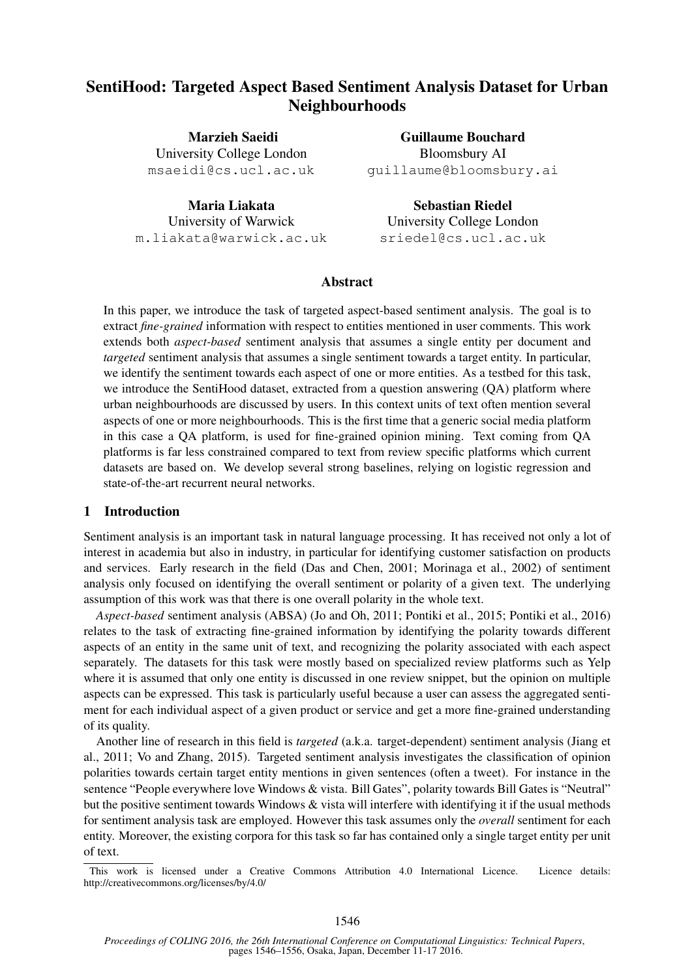# SentiHood: Targeted Aspect Based Sentiment Analysis Dataset for Urban Neighbourhoods

Marzieh Saeidi University College London msaeidi@cs.ucl.ac.uk

Guillaume Bouchard Bloomsbury AI guillaume@bloomsbury.ai

Maria Liakata University of Warwick m.liakata@warwick.ac.uk

Sebastian Riedel University College London sriedel@cs.ucl.ac.uk

#### Abstract

In this paper, we introduce the task of targeted aspect-based sentiment analysis. The goal is to extract *fine-grained* information with respect to entities mentioned in user comments. This work extends both *aspect-based* sentiment analysis that assumes a single entity per document and *targeted* sentiment analysis that assumes a single sentiment towards a target entity. In particular, we identify the sentiment towards each aspect of one or more entities. As a testbed for this task, we introduce the SentiHood dataset, extracted from a question answering (QA) platform where urban neighbourhoods are discussed by users. In this context units of text often mention several aspects of one or more neighbourhoods. This is the first time that a generic social media platform in this case a QA platform, is used for fine-grained opinion mining. Text coming from QA platforms is far less constrained compared to text from review specific platforms which current datasets are based on. We develop several strong baselines, relying on logistic regression and state-of-the-art recurrent neural networks.

#### 1 Introduction

Sentiment analysis is an important task in natural language processing. It has received not only a lot of interest in academia but also in industry, in particular for identifying customer satisfaction on products and services. Early research in the field (Das and Chen, 2001; Morinaga et al., 2002) of sentiment analysis only focused on identifying the overall sentiment or polarity of a given text. The underlying assumption of this work was that there is one overall polarity in the whole text.

*Aspect-based* sentiment analysis (ABSA) (Jo and Oh, 2011; Pontiki et al., 2015; Pontiki et al., 2016) relates to the task of extracting fine-grained information by identifying the polarity towards different aspects of an entity in the same unit of text, and recognizing the polarity associated with each aspect separately. The datasets for this task were mostly based on specialized review platforms such as Yelp where it is assumed that only one entity is discussed in one review snippet, but the opinion on multiple aspects can be expressed. This task is particularly useful because a user can assess the aggregated sentiment for each individual aspect of a given product or service and get a more fine-grained understanding of its quality.

Another line of research in this field is *targeted* (a.k.a. target-dependent) sentiment analysis (Jiang et al., 2011; Vo and Zhang, 2015). Targeted sentiment analysis investigates the classification of opinion polarities towards certain target entity mentions in given sentences (often a tweet). For instance in the sentence "People everywhere love Windows & vista. Bill Gates", polarity towards Bill Gates is "Neutral" but the positive sentiment towards Windows & vista will interfere with identifying it if the usual methods for sentiment analysis task are employed. However this task assumes only the *overall* sentiment for each entity. Moreover, the existing corpora for this task so far has contained only a single target entity per unit of text.

This work is licensed under a Creative Commons Attribution 4.0 International Licence. Licence details: http://creativecommons.org/licenses/by/4.0/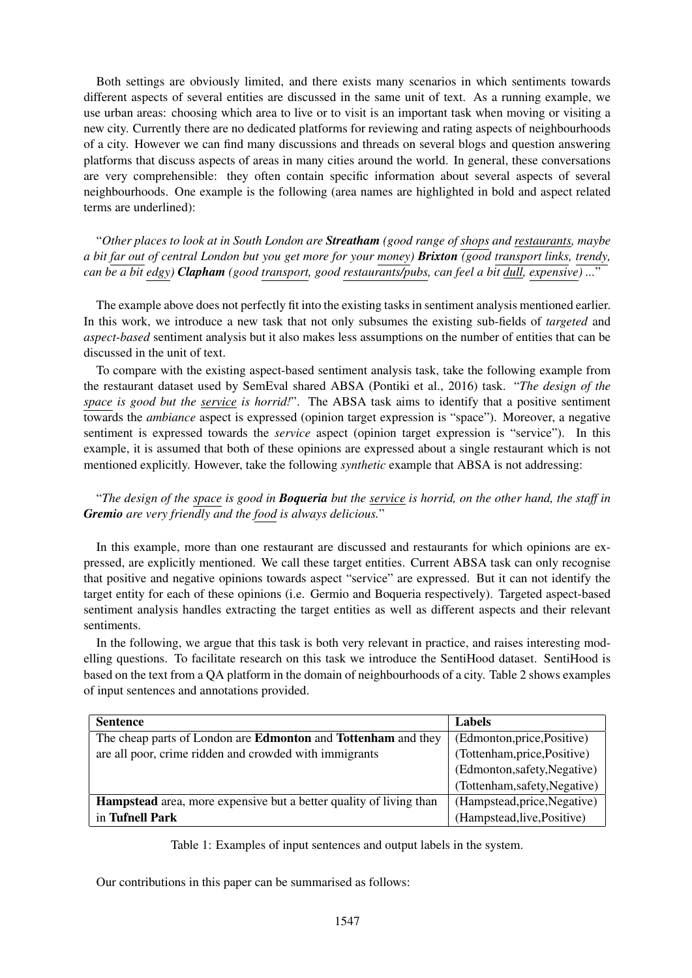Both settings are obviously limited, and there exists many scenarios in which sentiments towards different aspects of several entities are discussed in the same unit of text. As a running example, we use urban areas: choosing which area to live or to visit is an important task when moving or visiting a new city. Currently there are no dedicated platforms for reviewing and rating aspects of neighbourhoods of a city. However we can find many discussions and threads on several blogs and question answering platforms that discuss aspects of areas in many cities around the world. In general, these conversations are very comprehensible: they often contain specific information about several aspects of several neighbourhoods. One example is the following (area names are highlighted in bold and aspect related terms are underlined):

"*Other places to look at in South London are Streatham (good range of shops and restaurants, maybe a bit far out of central London but you get more for your money) Brixton (good transport links, trendy, can be a bit edgy) Clapham (good transport, good restaurants/pubs, can feel a bit dull, expensive) ...*"

The example above does not perfectly fit into the existing tasks in sentiment analysis mentioned earlier. In this work, we introduce a new task that not only subsumes the existing sub-fields of *targeted* and *aspect-based* sentiment analysis but it also makes less assumptions on the number of entities that can be discussed in the unit of text.

To compare with the existing aspect-based sentiment analysis task, take the following example from the restaurant dataset used by SemEval shared ABSA (Pontiki et al., 2016) task. "*The design of the space is good but the service is horrid!*". The ABSA task aims to identify that a positive sentiment towards the *ambiance* aspect is expressed (opinion target expression is "space"). Moreover, a negative sentiment is expressed towards the *service* aspect (opinion target expression is "service"). In this example, it is assumed that both of these opinions are expressed about a single restaurant which is not mentioned explicitly. However, take the following *synthetic* example that ABSA is not addressing:

"*The design of the space is good in Boqueria but the service is horrid, on the other hand, the staff in Gremio are very friendly and the food is always delicious.*"

In this example, more than one restaurant are discussed and restaurants for which opinions are expressed, are explicitly mentioned. We call these target entities. Current ABSA task can only recognise that positive and negative opinions towards aspect "service" are expressed. But it can not identify the target entity for each of these opinions (i.e. Germio and Boqueria respectively). Targeted aspect-based sentiment analysis handles extracting the target entities as well as different aspects and their relevant sentiments.

In the following, we argue that this task is both very relevant in practice, and raises interesting modelling questions. To facilitate research on this task we introduce the SentiHood dataset. SentiHood is based on the text from a QA platform in the domain of neighbourhoods of a city. Table 2 shows examples of input sentences and annotations provided.

| <b>Sentence</b>                                                             | <b>Labels</b>                |  |
|-----------------------------------------------------------------------------|------------------------------|--|
| The cheap parts of London are <b>Edmonton</b> and <b>Tottenham</b> and they | (Edmonton, price, Positive)  |  |
| are all poor, crime ridden and crowded with immigrants                      | (Tottenham, price, Positive) |  |
|                                                                             | (Edmonton,safety,Negative)   |  |
|                                                                             | (Tottenham,safety,Negative)  |  |
| <b>Hampstead</b> area, more expensive but a better quality of living than   | (Hampstead, price, Negative) |  |
| in Tufnell Park                                                             | (Hampstead, live, Positive)  |  |

Table 1: Examples of input sentences and output labels in the system.

Our contributions in this paper can be summarised as follows: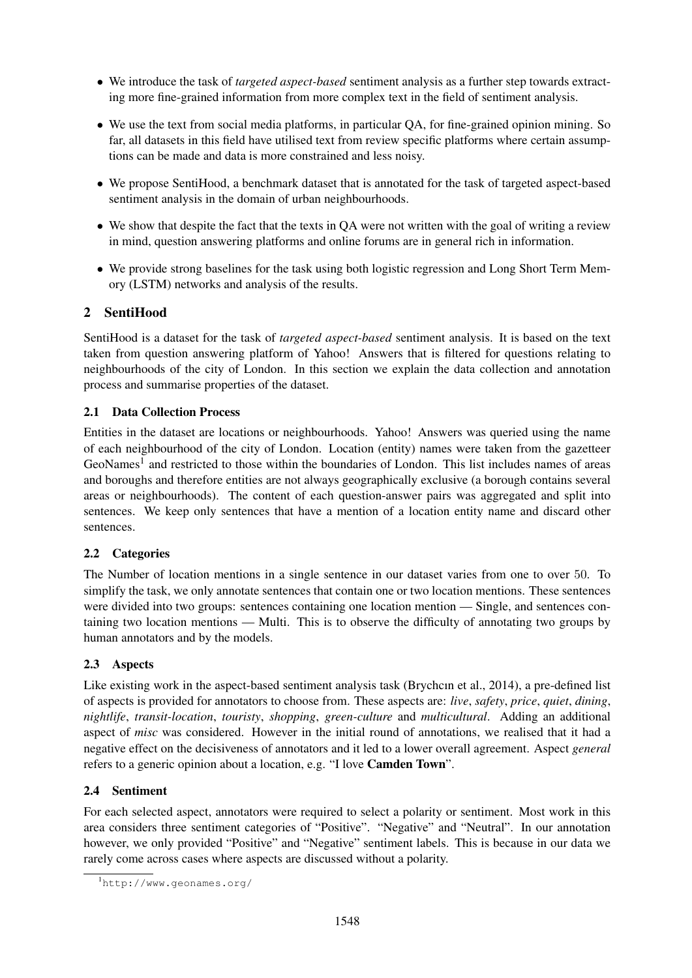- We introduce the task of *targeted aspect-based* sentiment analysis as a further step towards extracting more fine-grained information from more complex text in the field of sentiment analysis.
- We use the text from social media platforms, in particular QA, for fine-grained opinion mining. So far, all datasets in this field have utilised text from review specific platforms where certain assumptions can be made and data is more constrained and less noisy.
- We propose SentiHood, a benchmark dataset that is annotated for the task of targeted aspect-based sentiment analysis in the domain of urban neighbourhoods.
- We show that despite the fact that the texts in QA were not written with the goal of writing a review in mind, question answering platforms and online forums are in general rich in information.
- We provide strong baselines for the task using both logistic regression and Long Short Term Memory (LSTM) networks and analysis of the results.

# 2 SentiHood

SentiHood is a dataset for the task of *targeted aspect-based* sentiment analysis. It is based on the text taken from question answering platform of Yahoo! Answers that is filtered for questions relating to neighbourhoods of the city of London. In this section we explain the data collection and annotation process and summarise properties of the dataset.

# 2.1 Data Collection Process

Entities in the dataset are locations or neighbourhoods. Yahoo! Answers was queried using the name of each neighbourhood of the city of London. Location (entity) names were taken from the gazetteer GeoNames<sup>1</sup> and restricted to those within the boundaries of London. This list includes names of areas and boroughs and therefore entities are not always geographically exclusive (a borough contains several areas or neighbourhoods). The content of each question-answer pairs was aggregated and split into sentences. We keep only sentences that have a mention of a location entity name and discard other sentences.

# 2.2 Categories

The Number of location mentions in a single sentence in our dataset varies from one to over 50. To simplify the task, we only annotate sentences that contain one or two location mentions. These sentences were divided into two groups: sentences containing one location mention — Single, and sentences containing two location mentions — Multi. This is to observe the difficulty of annotating two groups by human annotators and by the models.

# 2.3 Aspects

Like existing work in the aspect-based sentiment analysis task (Brychcın et al., 2014), a pre-defined list of aspects is provided for annotators to choose from. These aspects are: *live*, *safety*, *price*, *quiet*, *dining*, *nightlife*, *transit-location*, *touristy*, *shopping*, *green-culture* and *multicultural*. Adding an additional aspect of *misc* was considered. However in the initial round of annotations, we realised that it had a negative effect on the decisiveness of annotators and it led to a lower overall agreement. Aspect *general* refers to a generic opinion about a location, e.g. "I love Camden Town".

# 2.4 Sentiment

For each selected aspect, annotators were required to select a polarity or sentiment. Most work in this area considers three sentiment categories of "Positive". "Negative" and "Neutral". In our annotation however, we only provided "Positive" and "Negative" sentiment labels. This is because in our data we rarely come across cases where aspects are discussed without a polarity.

<sup>1</sup>http://www.geonames.org/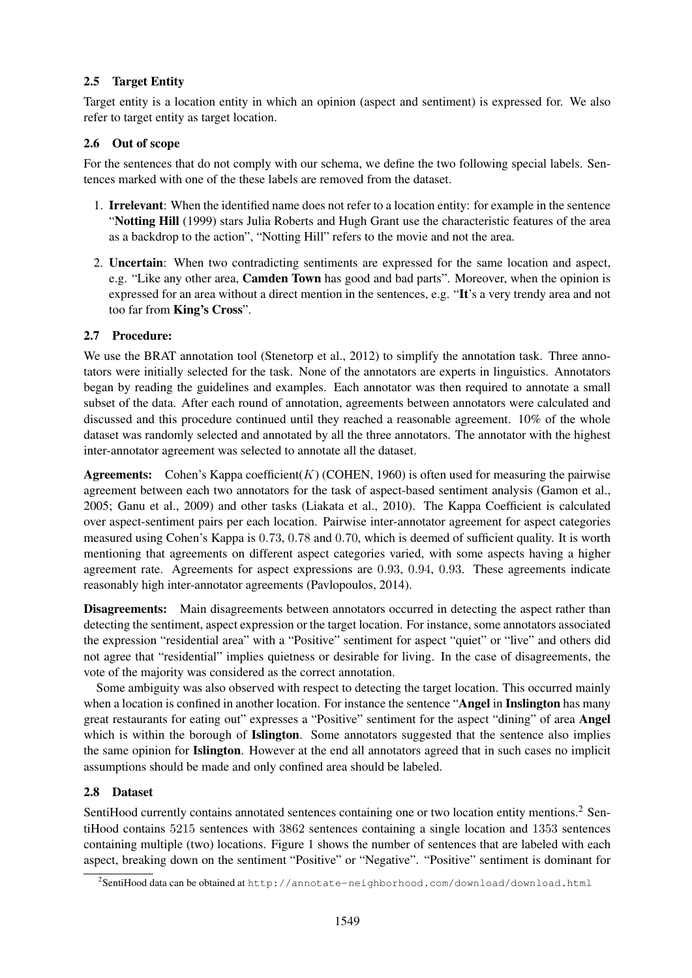# 2.5 Target Entity

Target entity is a location entity in which an opinion (aspect and sentiment) is expressed for. We also refer to target entity as target location.

#### 2.6 Out of scope

For the sentences that do not comply with our schema, we define the two following special labels. Sentences marked with one of the these labels are removed from the dataset.

- 1. Irrelevant: When the identified name does not refer to a location entity: for example in the sentence "Notting Hill (1999) stars Julia Roberts and Hugh Grant use the characteristic features of the area as a backdrop to the action", "Notting Hill" refers to the movie and not the area.
- 2. Uncertain: When two contradicting sentiments are expressed for the same location and aspect, e.g. "Like any other area, Camden Town has good and bad parts". Moreover, when the opinion is expressed for an area without a direct mention in the sentences, e.g. "It's a very trendy area and not too far from King's Cross".

### 2.7 Procedure:

We use the BRAT annotation tool (Stenetorp et al., 2012) to simplify the annotation task. Three annotators were initially selected for the task. None of the annotators are experts in linguistics. Annotators began by reading the guidelines and examples. Each annotator was then required to annotate a small subset of the data. After each round of annotation, agreements between annotators were calculated and discussed and this procedure continued until they reached a reasonable agreement. 10% of the whole dataset was randomly selected and annotated by all the three annotators. The annotator with the highest inter-annotator agreement was selected to annotate all the dataset.

**Agreements:** Cohen's Kappa coefficient( $K$ ) (COHEN, 1960) is often used for measuring the pairwise agreement between each two annotators for the task of aspect-based sentiment analysis (Gamon et al., 2005; Ganu et al., 2009) and other tasks (Liakata et al., 2010). The Kappa Coefficient is calculated over aspect-sentiment pairs per each location. Pairwise inter-annotator agreement for aspect categories measured using Cohen's Kappa is 0.73, 0.78 and 0.70, which is deemed of sufficient quality. It is worth mentioning that agreements on different aspect categories varied, with some aspects having a higher agreement rate. Agreements for aspect expressions are 0.93, 0.94, 0.93. These agreements indicate reasonably high inter-annotator agreements (Pavlopoulos, 2014).

Disagreements: Main disagreements between annotators occurred in detecting the aspect rather than detecting the sentiment, aspect expression or the target location. For instance, some annotators associated the expression "residential area" with a "Positive" sentiment for aspect "quiet" or "live" and others did not agree that "residential" implies quietness or desirable for living. In the case of disagreements, the vote of the majority was considered as the correct annotation.

Some ambiguity was also observed with respect to detecting the target location. This occurred mainly when a location is confined in another location. For instance the sentence "Angel in Inslington has many great restaurants for eating out" expresses a "Positive" sentiment for the aspect "dining" of area Angel which is within the borough of Islington. Some annotators suggested that the sentence also implies the same opinion for Islington. However at the end all annotators agreed that in such cases no implicit assumptions should be made and only confined area should be labeled.

# 2.8 Dataset

SentiHood currently contains annotated sentences containing one or two location entity mentions.<sup>2</sup> SentiHood contains 5215 sentences with 3862 sentences containing a single location and 1353 sentences containing multiple (two) locations. Figure 1 shows the number of sentences that are labeled with each aspect, breaking down on the sentiment "Positive" or "Negative". "Positive" sentiment is dominant for

 $^2$ Senti $\rm H$ ood data can be obtained at <code>http://annotate-neighborhood.com/download/download.html</code>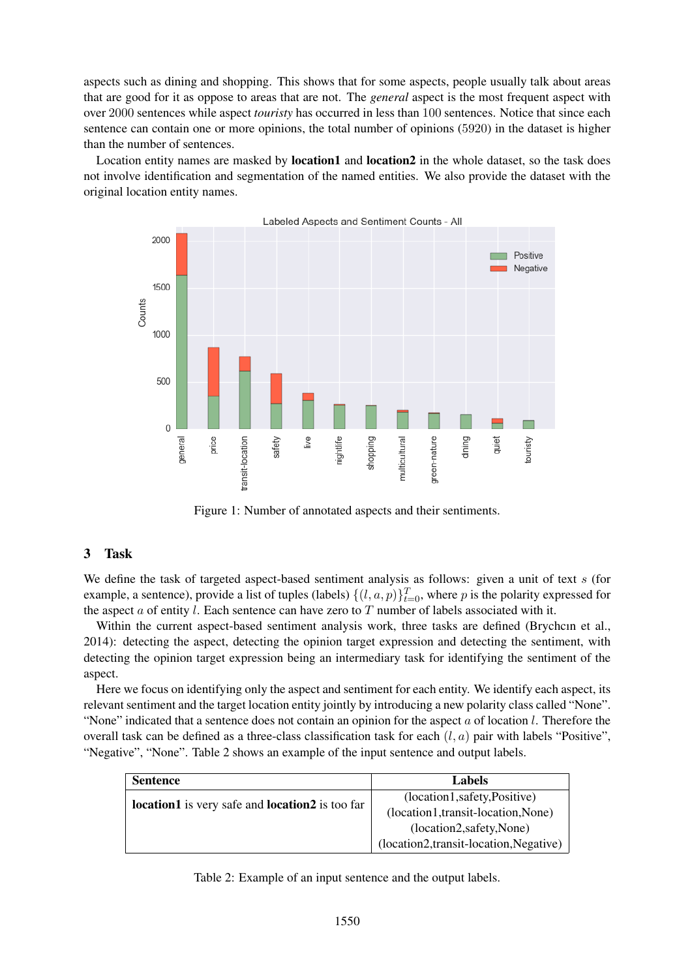aspects such as dining and shopping. This shows that for some aspects, people usually talk about areas that are good for it as oppose to areas that are not. The *general* aspect is the most frequent aspect with over 2000 sentences while aspect *touristy* has occurred in less than 100 sentences. Notice that since each sentence can contain one or more opinions, the total number of opinions (5920) in the dataset is higher than the number of sentences.

Location entity names are masked by **location1** and **location2** in the whole dataset, so the task does not involve identification and segmentation of the named entities. We also provide the dataset with the original location entity names.



Figure 1: Number of annotated aspects and their sentiments.

#### 3 Task

We define the task of targeted aspect-based sentiment analysis as follows: given a unit of text s (for example, a sentence), provide a list of tuples (labels)  $\{(l, a, p)\}_{t=0}^T$ , where p is the polarity expressed for the aspect  $a$  of entity l. Each sentence can have zero to  $T$  number of labels associated with it.

Within the current aspect-based sentiment analysis work, three tasks are defined (Brychcın et al., 2014): detecting the aspect, detecting the opinion target expression and detecting the sentiment, with detecting the opinion target expression being an intermediary task for identifying the sentiment of the aspect.

Here we focus on identifying only the aspect and sentiment for each entity. We identify each aspect, its relevant sentiment and the target location entity jointly by introducing a new polarity class called "None". "None" indicated that a sentence does not contain an opinion for the aspect a of location l. Therefore the overall task can be defined as a three-class classification task for each  $(l, a)$  pair with labels "Positive", "Negative", "None". Table 2 shows an example of the input sentence and output labels.

| <b>Sentence</b>                                               | Labels                                  |
|---------------------------------------------------------------|-----------------------------------------|
| <b>location1</b> is very safe and <b>location2</b> is too far | (location1,safety,Positive)             |
|                                                               | (location1,transit-location,None)       |
|                                                               | (location2,safety,None)                 |
|                                                               | (location2, transit-location, Negative) |

Table 2: Example of an input sentence and the output labels.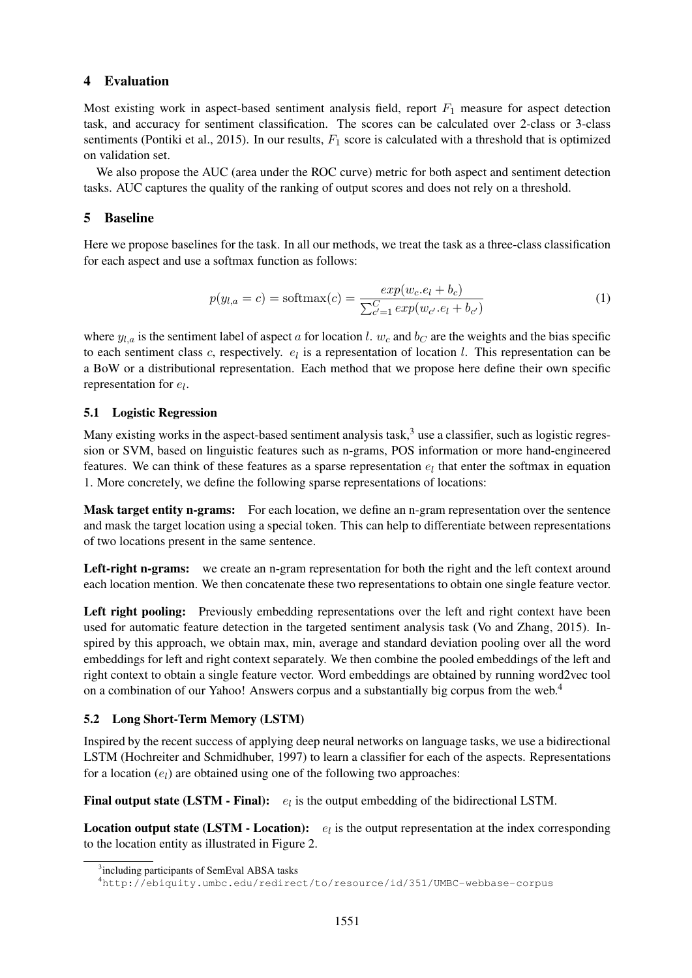#### 4 Evaluation

Most existing work in aspect-based sentiment analysis field, report  $F_1$  measure for aspect detection task, and accuracy for sentiment classification. The scores can be calculated over 2-class or 3-class sentiments (Pontiki et al., 2015). In our results,  $F_1$  score is calculated with a threshold that is optimized on validation set.

We also propose the AUC (area under the ROC curve) metric for both aspect and sentiment detection tasks. AUC captures the quality of the ranking of output scores and does not rely on a threshold.

#### 5 Baseline

Here we propose baselines for the task. In all our methods, we treat the task as a three-class classification for each aspect and use a softmax function as follows:

$$
p(y_{l,a} = c) = \text{softmax}(c) = \frac{\exp(w_c \cdot e_l + b_c)}{\sum_{c'=1}^{C} \exp(w_{c'} \cdot e_l + b_{c'})}
$$
(1)

where  $y_{l,a}$  is the sentiment label of aspect a for location l.  $w_c$  and  $b_c$  are the weights and the bias specific to each sentiment class c, respectively.  $e_l$  is a representation of location l. This representation can be a BoW or a distributional representation. Each method that we propose here define their own specific representation for  $e_l$ .

### 5.1 Logistic Regression

Many existing works in the aspect-based sentiment analysis task, $3$  use a classifier, such as logistic regression or SVM, based on linguistic features such as n-grams, POS information or more hand-engineered features. We can think of these features as a sparse representation  $e_l$  that enter the softmax in equation 1. More concretely, we define the following sparse representations of locations:

Mask target entity n-grams: For each location, we define an n-gram representation over the sentence and mask the target location using a special token. This can help to differentiate between representations of two locations present in the same sentence.

Left-right n-grams: we create an n-gram representation for both the right and the left context around each location mention. We then concatenate these two representations to obtain one single feature vector.

Left right pooling: Previously embedding representations over the left and right context have been used for automatic feature detection in the targeted sentiment analysis task (Vo and Zhang, 2015). Inspired by this approach, we obtain max, min, average and standard deviation pooling over all the word embeddings for left and right context separately. We then combine the pooled embeddings of the left and right context to obtain a single feature vector. Word embeddings are obtained by running word2vec tool on a combination of our Yahoo! Answers corpus and a substantially big corpus from the web.<sup>4</sup>

#### 5.2 Long Short-Term Memory (LSTM)

Inspired by the recent success of applying deep neural networks on language tasks, we use a bidirectional LSTM (Hochreiter and Schmidhuber, 1997) to learn a classifier for each of the aspects. Representations for a location  $(e_l)$  are obtained using one of the following two approaches:

**Final output state (LSTM - Final):**  $e_l$  is the output embedding of the bidirectional LSTM.

**Location output state (LSTM - Location):**  $e_l$  is the output representation at the index corresponding to the location entity as illustrated in Figure 2.

<sup>&</sup>lt;sup>3</sup>including participants of SemEval ABSA tasks

<sup>4</sup>http://ebiquity.umbc.edu/redirect/to/resource/id/351/UMBC-webbase-corpus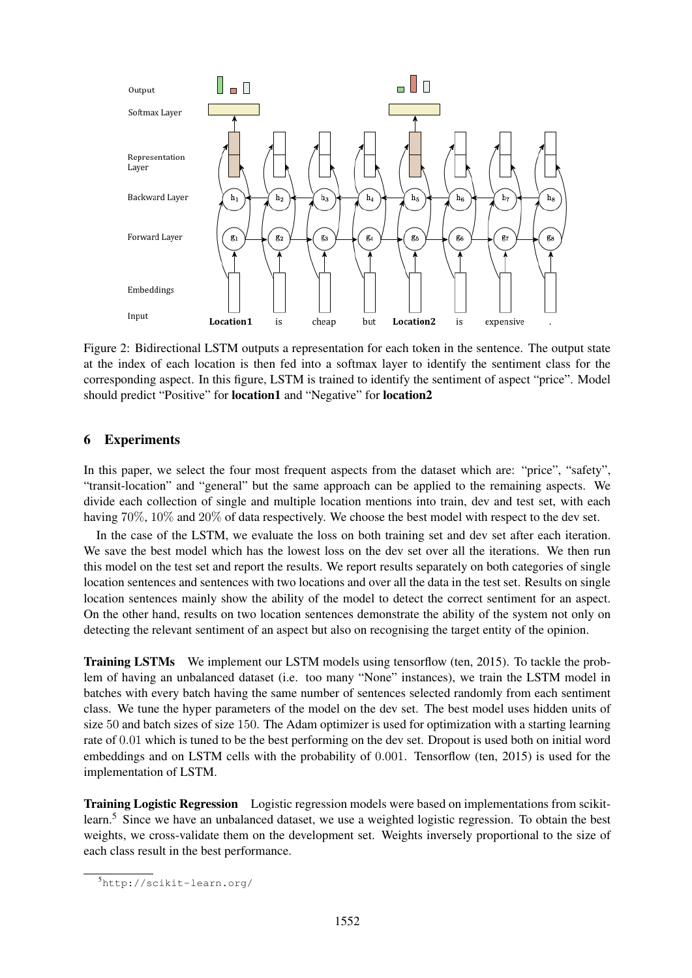

Figure 2: Bidirectional LSTM outputs a representation for each token in the sentence. The output state at the index of each location is then fed into a softmax layer to identify the sentiment class for the corresponding aspect. In this figure, LSTM is trained to identify the sentiment of aspect "price". Model should predict "Positive" for location1 and "Negative" for location2

### 6 Experiments

In this paper, we select the four most frequent aspects from the dataset which are: "price", "safety", "transit-location" and "general" but the same approach can be applied to the remaining aspects. We divide each collection of single and multiple location mentions into train, dev and test set, with each having 70%, 10% and 20% of data respectively. We choose the best model with respect to the dev set.

In the case of the LSTM, we evaluate the loss on both training set and dev set after each iteration. We save the best model which has the lowest loss on the dev set over all the iterations. We then run this model on the test set and report the results. We report results separately on both categories of single location sentences and sentences with two locations and over all the data in the test set. Results on single location sentences mainly show the ability of the model to detect the correct sentiment for an aspect. On the other hand, results on two location sentences demonstrate the ability of the system not only on detecting the relevant sentiment of an aspect but also on recognising the target entity of the opinion.

Training LSTMs We implement our LSTM models using tensorflow (ten, 2015). To tackle the problem of having an unbalanced dataset (i.e. too many "None" instances), we train the LSTM model in batches with every batch having the same number of sentences selected randomly from each sentiment class. We tune the hyper parameters of the model on the dev set. The best model uses hidden units of size 50 and batch sizes of size 150. The Adam optimizer is used for optimization with a starting learning rate of 0.01 which is tuned to be the best performing on the dev set. Dropout is used both on initial word embeddings and on LSTM cells with the probability of 0.001. Tensorflow (ten, 2015) is used for the implementation of LSTM.

Training Logistic Regression Logistic regression models were based on implementations from scikitlearn.<sup>5</sup> Since we have an unbalanced dataset, we use a weighted logistic regression. To obtain the best weights, we cross-validate them on the development set. Weights inversely proportional to the size of each class result in the best performance.

<sup>5</sup>http://scikit-learn.org/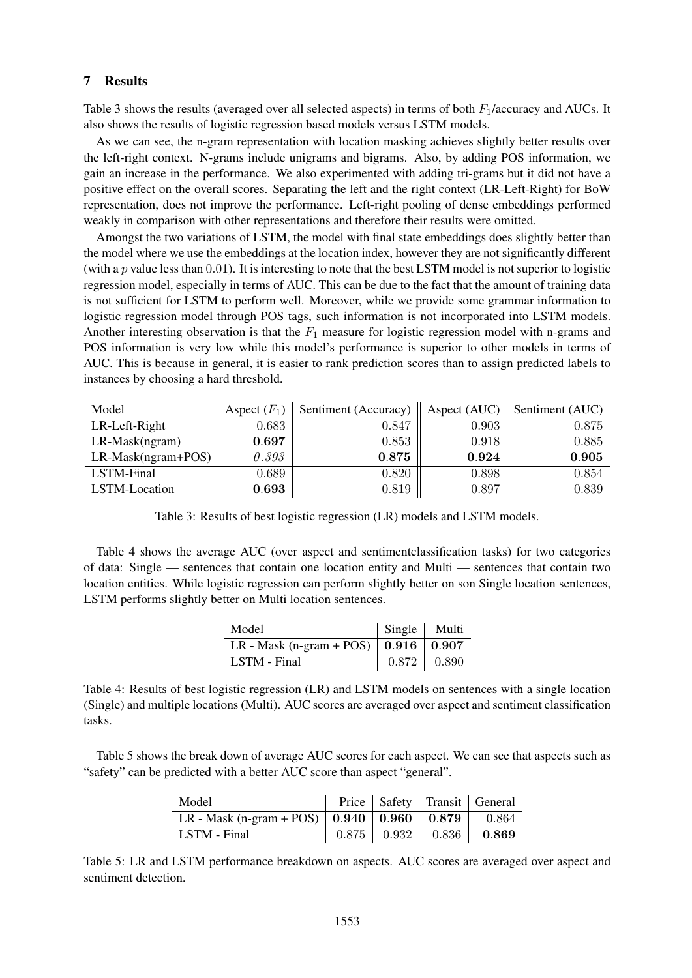#### 7 Results

Table 3 shows the results (averaged over all selected aspects) in terms of both  $F_1$ /accuracy and AUCs. It also shows the results of logistic regression based models versus LSTM models.

As we can see, the n-gram representation with location masking achieves slightly better results over the left-right context. N-grams include unigrams and bigrams. Also, by adding POS information, we gain an increase in the performance. We also experimented with adding tri-grams but it did not have a positive effect on the overall scores. Separating the left and the right context (LR-Left-Right) for BoW representation, does not improve the performance. Left-right pooling of dense embeddings performed weakly in comparison with other representations and therefore their results were omitted.

Amongst the two variations of LSTM, the model with final state embeddings does slightly better than the model where we use the embeddings at the location index, however they are not significantly different (with a  $p$  value less than 0.01). It is interesting to note that the best LSTM model is not superior to logistic regression model, especially in terms of AUC. This can be due to the fact that the amount of training data is not sufficient for LSTM to perform well. Moreover, while we provide some grammar information to logistic regression model through POS tags, such information is not incorporated into LSTM models. Another interesting observation is that the  $F_1$  measure for logistic regression model with n-grams and POS information is very low while this model's performance is superior to other models in terms of AUC. This is because in general, it is easier to rank prediction scores than to assign predicted labels to instances by choosing a hard threshold.

| Model                 | Aspect $(F_1)$ | Sentiment (Accuracy)   Aspect (AUC)   Sentiment (AUC) |       |       |
|-----------------------|----------------|-------------------------------------------------------|-------|-------|
| LR-Left-Right         | 0.683          | 0.847                                                 | 0.903 | 0.875 |
| $LR$ -Mask $(ngram)$  | 0.697          | 0.853                                                 | 0.918 | 0.885 |
| $LR$ -Mask(ngram+POS) | 0.393          | 0.875                                                 | 0.924 | 0.905 |
| LSTM-Final            | 0.689          | 0.820                                                 | 0.898 | 0.854 |
| LSTM-Location         | 0.693          | 0.819                                                 | 0.897 | 0.839 |

Table 3: Results of best logistic regression (LR) models and LSTM models.

Table 4 shows the average AUC (over aspect and sentimentclassification tasks) for two categories of data: Single — sentences that contain one location entity and Multi — sentences that contain two location entities. While logistic regression can perform slightly better on son Single location sentences, LSTM performs slightly better on Multi location sentences.

| Model                                        | Single Multi |                   |
|----------------------------------------------|--------------|-------------------|
| LR - Mask (n-gram + POS)   $0.916$   $0.907$ |              |                   |
| LSTM - Final                                 |              | $0.872 \pm 0.890$ |

Table 4: Results of best logistic regression (LR) and LSTM models on sentences with a single location (Single) and multiple locations (Multi). AUC scores are averaged over aspect and sentiment classification tasks.

Table 5 shows the break down of average AUC scores for each aspect. We can see that aspects such as "safety" can be predicted with a better AUC score than aspect "general".

| Model                                                            |  | Price   Safety   Transit   General         |
|------------------------------------------------------------------|--|--------------------------------------------|
| LR - Mask (n-gram + POS)   $0.940$   $0.960$   $0.879$   $0.864$ |  |                                            |
| LSTM - Final                                                     |  | $0.875$   $0.932$   $0.836$   <b>0.869</b> |

Table 5: LR and LSTM performance breakdown on aspects. AUC scores are averaged over aspect and sentiment detection.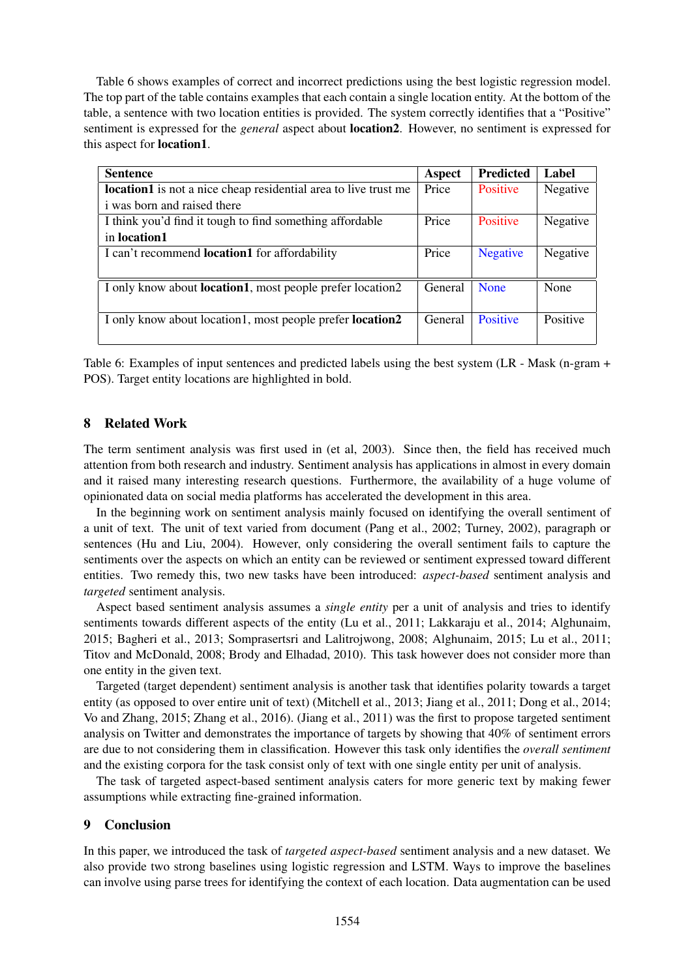Table 6 shows examples of correct and incorrect predictions using the best logistic regression model. The top part of the table contains examples that each contain a single location entity. At the bottom of the table, a sentence with two location entities is provided. The system correctly identifies that a "Positive" sentiment is expressed for the *general* aspect about location2. However, no sentiment is expressed for this aspect for location1.

| <b>Sentence</b>                                                        | Aspect  | <b>Predicted</b> | Label    |
|------------------------------------------------------------------------|---------|------------------|----------|
| <b>location1</b> is not a nice cheap residential area to live trust me | Price   | <b>Positive</b>  | Negative |
| <i>i</i> was born and raised there                                     |         |                  |          |
| I think you'd find it tough to find something affordable               | Price   | Positive         | Negative |
| in location1                                                           |         |                  |          |
| I can't recommend <b>location1</b> for affordability                   | Price   | <b>Negative</b>  | Negative |
|                                                                        |         |                  |          |
| I only know about <b>location1</b> , most people prefer location2      | General | <b>None</b>      | None     |
|                                                                        |         |                  |          |
| I only know about location1, most people prefer location2              | General | Positive         | Positive |
|                                                                        |         |                  |          |

Table 6: Examples of input sentences and predicted labels using the best system (LR - Mask (n-gram + POS). Target entity locations are highlighted in bold.

#### 8 Related Work

The term sentiment analysis was first used in (et al, 2003). Since then, the field has received much attention from both research and industry. Sentiment analysis has applications in almost in every domain and it raised many interesting research questions. Furthermore, the availability of a huge volume of opinionated data on social media platforms has accelerated the development in this area.

In the beginning work on sentiment analysis mainly focused on identifying the overall sentiment of a unit of text. The unit of text varied from document (Pang et al., 2002; Turney, 2002), paragraph or sentences (Hu and Liu, 2004). However, only considering the overall sentiment fails to capture the sentiments over the aspects on which an entity can be reviewed or sentiment expressed toward different entities. Two remedy this, two new tasks have been introduced: *aspect-based* sentiment analysis and *targeted* sentiment analysis.

Aspect based sentiment analysis assumes a *single entity* per a unit of analysis and tries to identify sentiments towards different aspects of the entity (Lu et al., 2011; Lakkaraju et al., 2014; Alghunaim, 2015; Bagheri et al., 2013; Somprasertsri and Lalitrojwong, 2008; Alghunaim, 2015; Lu et al., 2011; Titov and McDonald, 2008; Brody and Elhadad, 2010). This task however does not consider more than one entity in the given text.

Targeted (target dependent) sentiment analysis is another task that identifies polarity towards a target entity (as opposed to over entire unit of text) (Mitchell et al., 2013; Jiang et al., 2011; Dong et al., 2014; Vo and Zhang, 2015; Zhang et al., 2016). (Jiang et al., 2011) was the first to propose targeted sentiment analysis on Twitter and demonstrates the importance of targets by showing that 40% of sentiment errors are due to not considering them in classification. However this task only identifies the *overall sentiment* and the existing corpora for the task consist only of text with one single entity per unit of analysis.

The task of targeted aspect-based sentiment analysis caters for more generic text by making fewer assumptions while extracting fine-grained information.

#### 9 Conclusion

In this paper, we introduced the task of *targeted aspect-based* sentiment analysis and a new dataset. We also provide two strong baselines using logistic regression and LSTM. Ways to improve the baselines can involve using parse trees for identifying the context of each location. Data augmentation can be used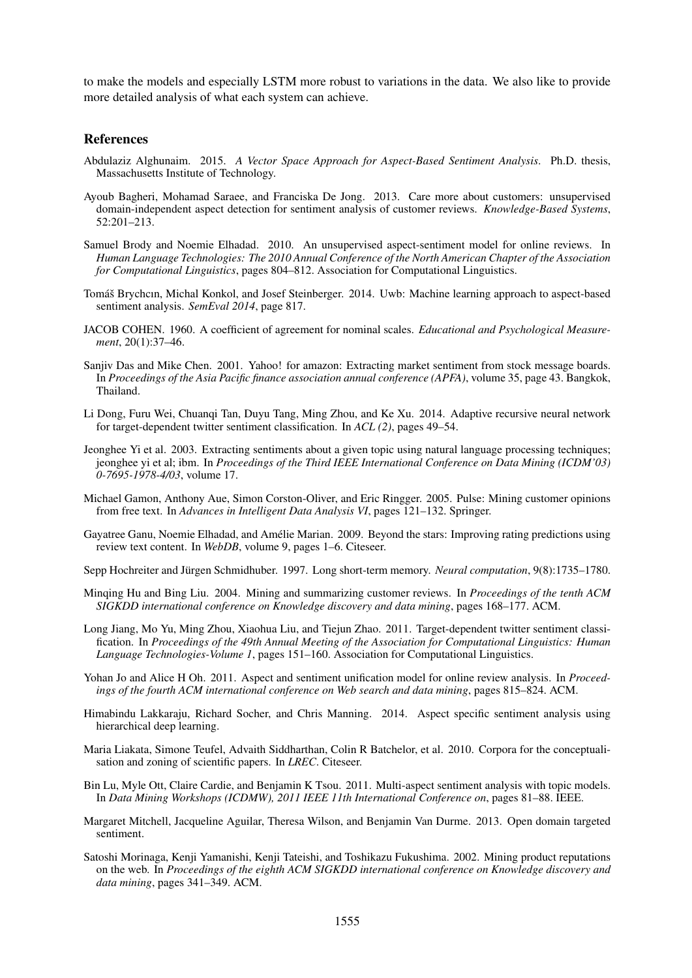to make the models and especially LSTM more robust to variations in the data. We also like to provide more detailed analysis of what each system can achieve.

#### References

- Abdulaziz Alghunaim. 2015. *A Vector Space Approach for Aspect-Based Sentiment Analysis*. Ph.D. thesis, Massachusetts Institute of Technology.
- Ayoub Bagheri, Mohamad Saraee, and Franciska De Jong. 2013. Care more about customers: unsupervised domain-independent aspect detection for sentiment analysis of customer reviews. *Knowledge-Based Systems*, 52:201–213.
- Samuel Brody and Noemie Elhadad. 2010. An unsupervised aspect-sentiment model for online reviews. In *Human Language Technologies: The 2010 Annual Conference of the North American Chapter of the Association for Computational Linguistics*, pages 804–812. Association for Computational Linguistics.
- Tomáš Brychcın, Michal Konkol, and Josef Steinberger. 2014. Uwb: Machine learning approach to aspect-based sentiment analysis. *SemEval 2014*, page 817.
- JACOB COHEN. 1960. A coefficient of agreement for nominal scales. *Educational and Psychological Measurement*, 20(1):37–46.
- Sanjiv Das and Mike Chen. 2001. Yahoo! for amazon: Extracting market sentiment from stock message boards. In *Proceedings of the Asia Pacific finance association annual conference (APFA)*, volume 35, page 43. Bangkok, Thailand.
- Li Dong, Furu Wei, Chuanqi Tan, Duyu Tang, Ming Zhou, and Ke Xu. 2014. Adaptive recursive neural network for target-dependent twitter sentiment classification. In *ACL (2)*, pages 49–54.
- Jeonghee Yi et al. 2003. Extracting sentiments about a given topic using natural language processing techniques; jeonghee yi et al; ibm. In *Proceedings of the Third IEEE International Conference on Data Mining (ICDM'03) 0-7695-1978-4/03*, volume 17.
- Michael Gamon, Anthony Aue, Simon Corston-Oliver, and Eric Ringger. 2005. Pulse: Mining customer opinions from free text. In *Advances in Intelligent Data Analysis VI*, pages 121–132. Springer.
- Gayatree Ganu, Noemie Elhadad, and Amelie Marian. 2009. Beyond the stars: Improving rating predictions using ´ review text content. In *WebDB*, volume 9, pages 1–6. Citeseer.

Sepp Hochreiter and Jürgen Schmidhuber. 1997. Long short-term memory. *Neural computation*, 9(8):1735–1780.

- Minqing Hu and Bing Liu. 2004. Mining and summarizing customer reviews. In *Proceedings of the tenth ACM SIGKDD international conference on Knowledge discovery and data mining*, pages 168–177. ACM.
- Long Jiang, Mo Yu, Ming Zhou, Xiaohua Liu, and Tiejun Zhao. 2011. Target-dependent twitter sentiment classification. In *Proceedings of the 49th Annual Meeting of the Association for Computational Linguistics: Human Language Technologies-Volume 1*, pages 151–160. Association for Computational Linguistics.
- Yohan Jo and Alice H Oh. 2011. Aspect and sentiment unification model for online review analysis. In *Proceedings of the fourth ACM international conference on Web search and data mining*, pages 815–824. ACM.
- Himabindu Lakkaraju, Richard Socher, and Chris Manning. 2014. Aspect specific sentiment analysis using hierarchical deep learning.
- Maria Liakata, Simone Teufel, Advaith Siddharthan, Colin R Batchelor, et al. 2010. Corpora for the conceptualisation and zoning of scientific papers. In *LREC*. Citeseer.
- Bin Lu, Myle Ott, Claire Cardie, and Benjamin K Tsou. 2011. Multi-aspect sentiment analysis with topic models. In *Data Mining Workshops (ICDMW), 2011 IEEE 11th International Conference on*, pages 81–88. IEEE.
- Margaret Mitchell, Jacqueline Aguilar, Theresa Wilson, and Benjamin Van Durme. 2013. Open domain targeted sentiment.
- Satoshi Morinaga, Kenji Yamanishi, Kenji Tateishi, and Toshikazu Fukushima. 2002. Mining product reputations on the web. In *Proceedings of the eighth ACM SIGKDD international conference on Knowledge discovery and data mining*, pages 341–349. ACM.